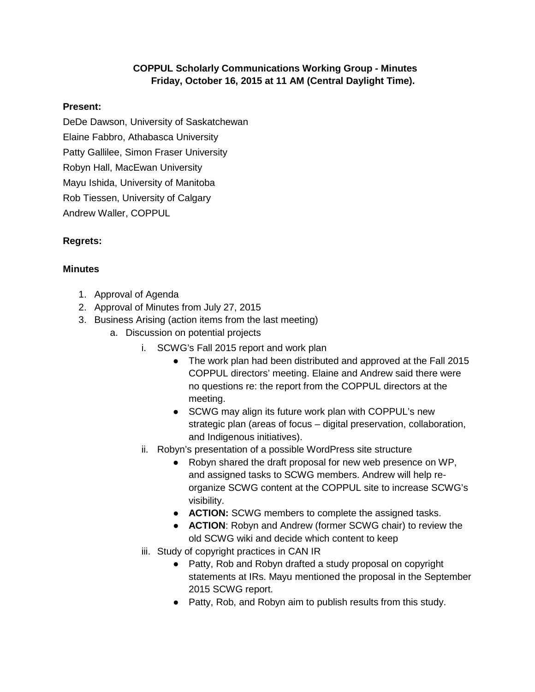## **COPPUL Scholarly Communications Working Group - Minutes Friday, October 16, 2015 at 11 AM (Central Daylight Time).**

## **Present:**

DeDe Dawson, University of Saskatchewan

Elaine Fabbro, Athabasca University

Patty Gallilee, Simon Fraser University

Robyn Hall, MacEwan University

Mayu Ishida, University of Manitoba

Rob Tiessen, University of Calgary

Andrew Waller, COPPUL

## **Regrets:**

## **Minutes**

- 1. Approval of Agenda
- 2. Approval of Minutes from July 27, 2015
- 3. Business Arising (action items from the last meeting)
	- a. Discussion on potential projects
		- i. SCWG's Fall 2015 report and work plan
			- The work plan had been distributed and approved at the Fall 2015 COPPUL directors' meeting. Elaine and Andrew said there were no questions re: the report from the COPPUL directors at the meeting.
			- SCWG may align its future work plan with COPPUL's new strategic plan (areas of focus – digital preservation, collaboration, and Indigenous initiatives).
		- ii. Robyn's presentation of a possible WordPress site structure
			- Robyn shared the draft proposal for new web presence on WP, and assigned tasks to SCWG members. Andrew will help reorganize SCWG content at the COPPUL site to increase SCWG's visibility.
			- **ACTION:** SCWG members to complete the assigned tasks.
			- **ACTION**: Robyn and Andrew (former SCWG chair) to review the old SCWG wiki and decide which content to keep
		- iii. Study of copyright practices in CAN IR
			- Patty, Rob and Robyn drafted a study proposal on copyright statements at IRs. Mayu mentioned the proposal in the September 2015 SCWG report.
			- Patty, Rob, and Robyn aim to publish results from this study.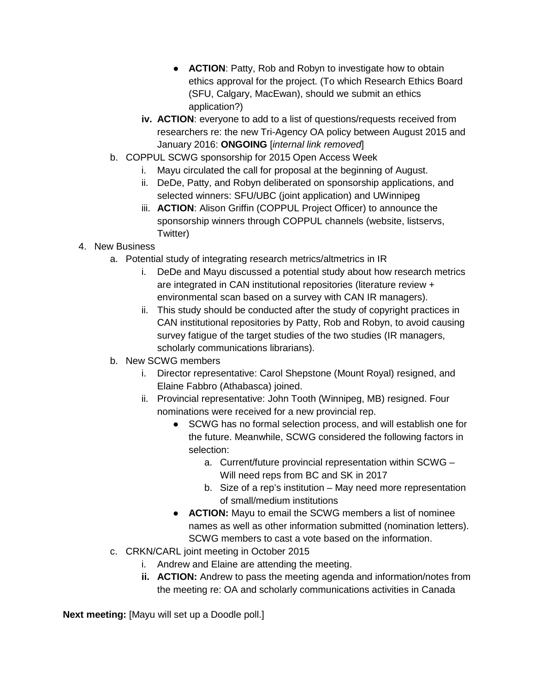- **ACTION: Patty, Rob and Robyn to investigate how to obtain** ethics approval for the project. (To which Research Ethics Board (SFU, Calgary, MacEwan), should we submit an ethics application?)
- **iv. ACTION**: everyone to add to a list of questions/requests received from researchers re: the new Tri-Agency OA policy between August 2015 and January 2016: **ONGOING** [*internal link removed*]
- b. COPPUL SCWG sponsorship for 2015 Open Access Week
	- Mayu circulated the call for proposal at the beginning of August.
	- ii. DeDe, Patty, and Robyn deliberated on sponsorship applications, and selected winners: SFU/UBC (joint application) and UWinnipeg
	- iii. **ACTION**: Alison Griffin (COPPUL Project Officer) to announce the sponsorship winners through COPPUL channels (website, listservs, Twitter)
- 4. New Business
	- a. Potential study of integrating research metrics/altmetrics in IR
		- i. DeDe and Mayu discussed a potential study about how research metrics are integrated in CAN institutional repositories (literature review + environmental scan based on a survey with CAN IR managers).
		- ii. This study should be conducted after the study of copyright practices in CAN institutional repositories by Patty, Rob and Robyn, to avoid causing survey fatigue of the target studies of the two studies (IR managers, scholarly communications librarians).
	- b. New SCWG members
		- i. Director representative: Carol Shepstone (Mount Royal) resigned, and Elaine Fabbro (Athabasca) joined.
		- ii. Provincial representative: John Tooth (Winnipeg, MB) resigned. Four nominations were received for a new provincial rep.
			- SCWG has no formal selection process, and will establish one for the future. Meanwhile, SCWG considered the following factors in selection:
				- a. Current/future provincial representation within SCWG Will need reps from BC and SK in 2017
				- b. Size of a rep's institution May need more representation of small/medium institutions
			- **ACTION:** Mayu to email the SCWG members a list of nominee names as well as other information submitted (nomination letters). SCWG members to cast a vote based on the information.
	- c. CRKN/CARL joint meeting in October 2015
		- i. Andrew and Elaine are attending the meeting.
		- **ii. ACTION:** Andrew to pass the meeting agenda and information/notes from the meeting re: OA and scholarly communications activities in Canada

**Next meeting:** [Mayu will set up a Doodle poll.]